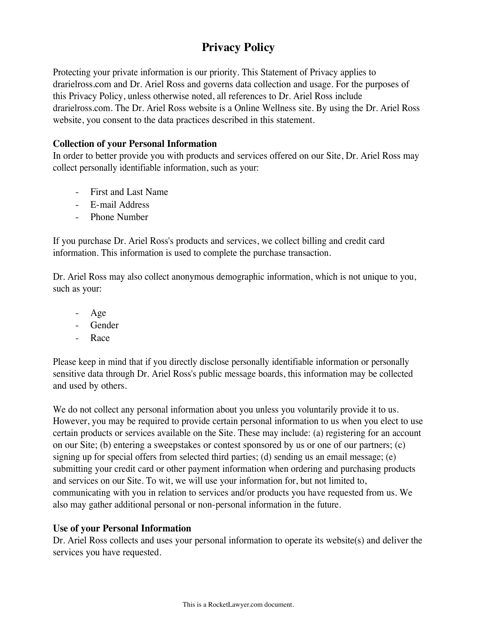# **Privacy Policy**

Protecting your private information is our priority. This Statement of Privacy applies to drarielross.com and Dr. Ariel Ross and governs data collection and usage. For the purposes of this Privacy Policy, unless otherwise noted, all references to Dr. Ariel Ross include drarielross.com. The Dr. Ariel Ross website is a Online Wellness site. By using the Dr. Ariel Ross website, you consent to the data practices described in this statement.

#### **Collection of your Personal Information**

In order to better provide you with products and services offered on our Site, Dr. Ariel Ross may collect personally identifiable information, such as your:

- First and Last Name
- E-mail Address
- Phone Number

If you purchase Dr. Ariel Ross's products and services, we collect billing and credit card information. This information is used to complete the purchase transaction.

Dr. Ariel Ross may also collect anonymous demographic information, which is not unique to you, such as your:

- Age
- Gender
- R<sub>ace</sub>

Please keep in mind that if you directly disclose personally identifiable information or personally sensitive data through Dr. Ariel Ross's public message boards, this information may be collected and used by others.

We do not collect any personal information about you unless you voluntarily provide it to us. However, you may be required to provide certain personal information to us when you elect to use certain products or services available on the Site. These may include: (a) registering for an account on our Site; (b) entering a sweepstakes or contest sponsored by us or one of our partners; (c) signing up for special offers from selected third parties; (d) sending us an email message; (e) submitting your credit card or other payment information when ordering and purchasing products and services on our Site. To wit, we will use your information for, but not limited to, communicating with you in relation to services and/or products you have requested from us. We also may gather additional personal or non-personal information in the future.

## **Use of your Personal Information**

Dr. Ariel Ross collects and uses your personal information to operate its website(s) and deliver the services you have requested.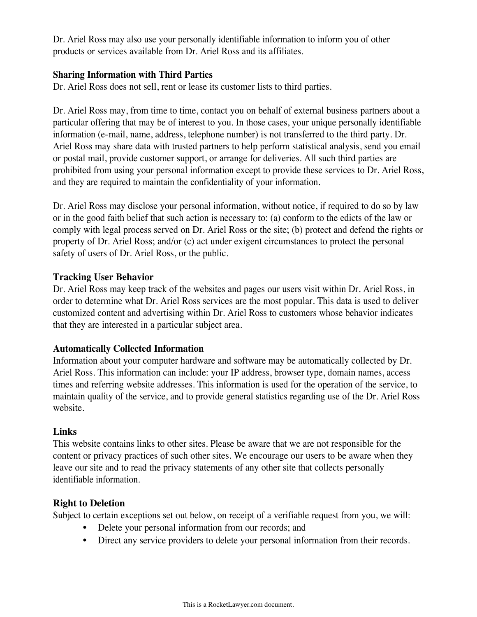Dr. Ariel Ross may also use your personally identifiable information to inform you of other products or services available from Dr. Ariel Ross and its affiliates.

#### **Sharing Information with Third Parties**

Dr. Ariel Ross does not sell, rent or lease its customer lists to third parties.

Dr. Ariel Ross may, from time to time, contact you on behalf of external business partners about a particular offering that may be of interest to you. In those cases, your unique personally identifiable information (e-mail, name, address, telephone number) is not transferred to the third party. Dr. Ariel Ross may share data with trusted partners to help perform statistical analysis, send you email or postal mail, provide customer support, or arrange for deliveries. All such third parties are prohibited from using your personal information except to provide these services to Dr. Ariel Ross, and they are required to maintain the confidentiality of your information.

Dr. Ariel Ross may disclose your personal information, without notice, if required to do so by law or in the good faith belief that such action is necessary to: (a) conform to the edicts of the law or comply with legal process served on Dr. Ariel Ross or the site; (b) protect and defend the rights or property of Dr. Ariel Ross; and/or (c) act under exigent circumstances to protect the personal safety of users of Dr. Ariel Ross, or the public.

#### **Tracking User Behavior**

Dr. Ariel Ross may keep track of the websites and pages our users visit within Dr. Ariel Ross, in order to determine what Dr. Ariel Ross services are the most popular. This data is used to deliver customized content and advertising within Dr. Ariel Ross to customers whose behavior indicates that they are interested in a particular subject area.

## **Automatically Collected Information**

Information about your computer hardware and software may be automatically collected by Dr. Ariel Ross. This information can include: your IP address, browser type, domain names, access times and referring website addresses. This information is used for the operation of the service, to maintain quality of the service, and to provide general statistics regarding use of the Dr. Ariel Ross website.

## **Links**

This website contains links to other sites. Please be aware that we are not responsible for the content or privacy practices of such other sites. We encourage our users to be aware when they leave our site and to read the privacy statements of any other site that collects personally identifiable information.

## **Right to Deletion**

Subject to certain exceptions set out below, on receipt of a verifiable request from you, we will:

- Delete your personal information from our records; and
- Direct any service providers to delete your personal information from their records.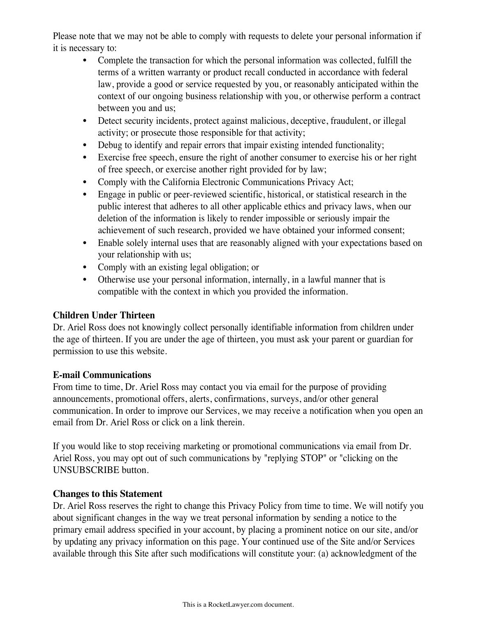Please note that we may not be able to comply with requests to delete your personal information if it is necessary to:

- Complete the transaction for which the personal information was collected, fulfill the terms of a written warranty or product recall conducted in accordance with federal law, provide a good or service requested by you, or reasonably anticipated within the context of our ongoing business relationship with you, or otherwise perform a contract between you and us;
- Detect security incidents, protect against malicious, deceptive, fraudulent, or illegal activity; or prosecute those responsible for that activity;
- Debug to identify and repair errors that impair existing intended functionality;
- Exercise free speech, ensure the right of another consumer to exercise his or her right of free speech, or exercise another right provided for by law;
- Comply with the California Electronic Communications Privacy Act;
- Engage in public or peer-reviewed scientific, historical, or statistical research in the public interest that adheres to all other applicable ethics and privacy laws, when our deletion of the information is likely to render impossible or seriously impair the achievement of such research, provided we have obtained your informed consent;
- Enable solely internal uses that are reasonably aligned with your expectations based on your relationship with us;
- Comply with an existing legal obligation; or
- Otherwise use your personal information, internally, in a lawful manner that is compatible with the context in which you provided the information.

## **Children Under Thirteen**

Dr. Ariel Ross does not knowingly collect personally identifiable information from children under the age of thirteen. If you are under the age of thirteen, you must ask your parent or guardian for permission to use this website.

#### **E-mail Communications**

From time to time, Dr. Ariel Ross may contact you via email for the purpose of providing announcements, promotional offers, alerts, confirmations, surveys, and/or other general communication. In order to improve our Services, we may receive a notification when you open an email from Dr. Ariel Ross or click on a link therein.

If you would like to stop receiving marketing or promotional communications via email from Dr. Ariel Ross, you may opt out of such communications by "replying STOP" or "clicking on the UNSUBSCRIBE button.

## **Changes to this Statement**

Dr. Ariel Ross reserves the right to change this Privacy Policy from time to time. We will notify you about significant changes in the way we treat personal information by sending a notice to the primary email address specified in your account, by placing a prominent notice on our site, and/or by updating any privacy information on this page. Your continued use of the Site and/or Services available through this Site after such modifications will constitute your: (a) acknowledgment of the